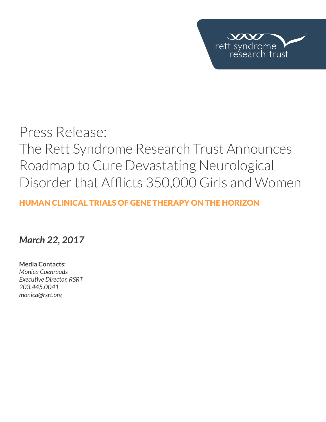

# Press Release: The Rett Syndrome Research Trust Announces Roadmap to Cure Devastating Neurological Disorder that Afflicts 350,000 Girls and Women

## HUMAN CLINICAL TRIALS OF GENE THERAPY ON THE HORIZON

# *March 22, 2017*

**Media Contacts:**  *Monica Coenraads Executive Director, RSRT 203.445.0041 monica@rsrt.org*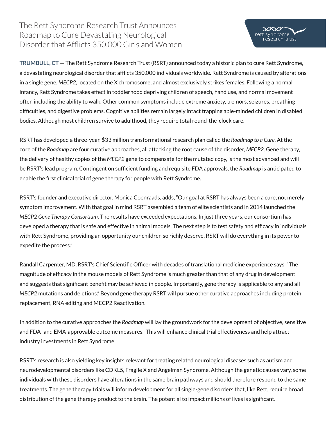#### The Rett Syndrome Research Trust Announces Roadmap to Cure Devastating Neurological Disorder that Afflicts 350,000 Girls and Women



**TRUMBULL, CT** — The Rett Syndrome Research Trust (RSRT) announced today a historic plan to cure Rett Syndrome, a devastating neurological disorder that afflicts 350,000 individuals worldwide. Rett Syndrome is caused by alterations in a single gene, *MECP2*, located on the X chromosome, and almost exclusively strikes females. Following a normal infancy, Rett Syndrome takes effect in toddlerhood depriving children of speech, hand use, and normal movement often including the ability to walk. Other common symptoms include extreme anxiety, tremors, seizures, breathing difficulties, and digestive problems. Cognitive abilities remain largely intact trapping able-minded children in disabled bodies. Although most children survive to adulthood, they require total round-the-clock care.

RSRT has developed a three-year, \$33 million transformational research plan called the *Roadmap to a Cure*. At the core of the *Roadmap* are four curative approaches, all attacking the root cause of the disorder, *MECP2*. Gene therapy, the delivery of healthy copies of the *MECP2* gene to compensate for the mutated copy, is the most advanced and will be RSRT's lead program. Contingent on sufficient funding and requisite FDA approvals, the *Roadmap* is anticipated to enable the first clinical trial of gene therapy for people with Rett Syndrome.

RSRT's founder and executive director, Monica Coenraads, adds, "Our goal at RSRT has always been a cure, not merely symptom improvement. With that goal in mind RSRT assembled a team of elite scientists and in 2014 launched the *MECP2 Gene Therapy Consortium*. The results have exceeded expectations. In just three years, our consortium has developed a therapy that is safe and effective in animal models. The next step is to test safety and efficacy in individuals with Rett Syndrome, providing an opportunity our children so richly deserve. RSRT will do everything in its power to expedite the process."

Randall Carpenter, MD, RSRT's Chief Scientific Officer with decades of translational medicine experience says, "The magnitude of efficacy in the mouse models of Rett Syndrome is much greater than that of any drug in development and suggests that significant benefit may be achieved in people. Importantly, gene therapy is applicable to any and all *MECP2* mutations and deletions." Beyond gene therapy RSRT will pursue other curative approaches including protein replacement, RNA editing and MECP2 Reactivation.

In addition to the curative approaches the *Roadmap* will lay the groundwork for the development of objective, sensitive and FDA- and EMA-approvable outcome measures. This will enhance clinical trial effectiveness and help attract industry investments in Rett Syndrome.

RSRT's research is also yielding key insights relevant for treating related neurological diseases such as autism and neurodevelopmental disorders like CDKL5, Fragile X and Angelman Syndrome. Although the genetic causes vary, some individuals with these disorders have alterations in the same brain pathways and should therefore respond to the same treatments. The gene therapy trials will inform development for all single-gene disorders that, like Rett, require broad distribution of the gene therapy product to the brain. The potential to impact millions of lives is significant.